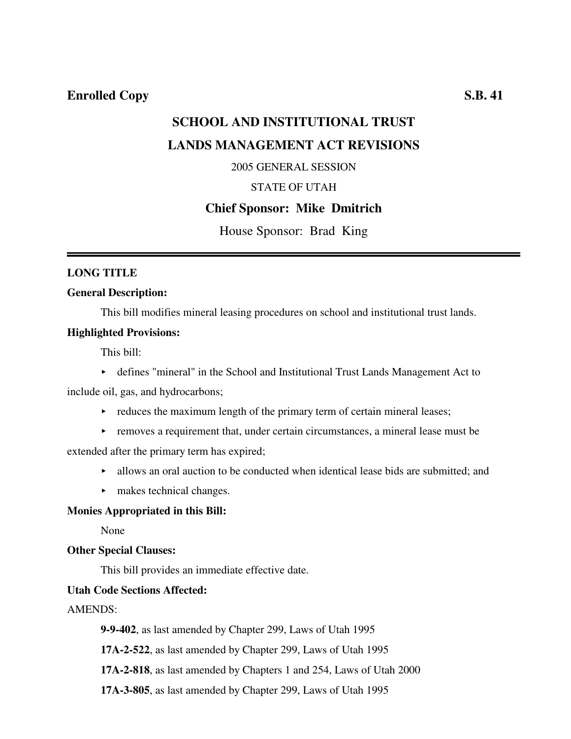# **SCHOOL AND INSTITUTIONAL TRUST LANDS MANAGEMENT ACT REVISIONS**

2005 GENERAL SESSION

## STATE OF UTAH

#### **Chief Sponsor: Mike Dmitrich**

House Sponsor: Brad King

#### **LONG TITLE**

#### **General Description:**

This bill modifies mineral leasing procedures on school and institutional trust lands.

#### **Highlighted Provisions:**

This bill:

< defines "mineral" in the School and Institutional Trust Lands Management Act to

include oil, gas, and hydrocarbons;

- $\rightarrow$  reduces the maximum length of the primary term of certain mineral leases;
- $\triangleright$  removes a requirement that, under certain circumstances, a mineral lease must be

extended after the primary term has expired;

- $\blacktriangleright$  allows an oral auction to be conducted when identical lease bids are submitted; and
- $\blacktriangleright$  makes technical changes.

#### **Monies Appropriated in this Bill:**

None

#### **Other Special Clauses:**

This bill provides an immediate effective date.

#### **Utah Code Sections Affected:**

#### AMENDS:

**9-9-402**, as last amended by Chapter 299, Laws of Utah 1995

**17A-2-522**, as last amended by Chapter 299, Laws of Utah 1995

**17A-2-818**, as last amended by Chapters 1 and 254, Laws of Utah 2000

**17A-3-805**, as last amended by Chapter 299, Laws of Utah 1995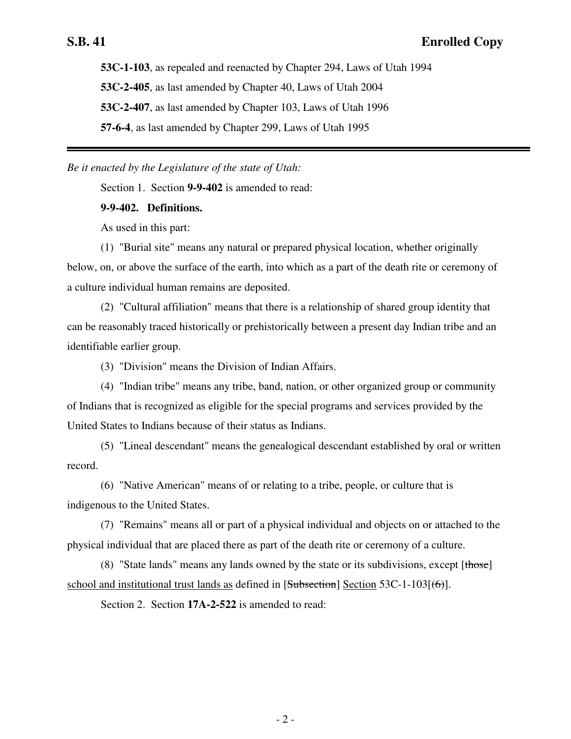**53C-1-103**, as repealed and reenacted by Chapter 294, Laws of Utah 1994 **53C-2-405**, as last amended by Chapter 40, Laws of Utah 2004 **53C-2-407**, as last amended by Chapter 103, Laws of Utah 1996 **57-6-4**, as last amended by Chapter 299, Laws of Utah 1995

*Be it enacted by the Legislature of the state of Utah:*

Section 1. Section **9-9-402** is amended to read:

**9-9-402. Definitions.**

As used in this part:

(1) "Burial site" means any natural or prepared physical location, whether originally below, on, or above the surface of the earth, into which as a part of the death rite or ceremony of a culture individual human remains are deposited.

(2) "Cultural affiliation" means that there is a relationship of shared group identity that can be reasonably traced historically or prehistorically between a present day Indian tribe and an identifiable earlier group.

(3) "Division" means the Division of Indian Affairs.

(4) "Indian tribe" means any tribe, band, nation, or other organized group or community of Indians that is recognized as eligible for the special programs and services provided by the United States to Indians because of their status as Indians.

(5) "Lineal descendant" means the genealogical descendant established by oral or written record.

(6) "Native American" means of or relating to a tribe, people, or culture that is indigenous to the United States.

(7) "Remains" means all or part of a physical individual and objects on or attached to the physical individual that are placed there as part of the death rite or ceremony of a culture.

(8) "State lands" means any lands owned by the state or its subdivisions, except  $[those]$ school and institutional trust lands as defined in  $[Subsection]$  Section 53C-1-103 $[66]$ .

Section 2. Section **17A-2-522** is amended to read: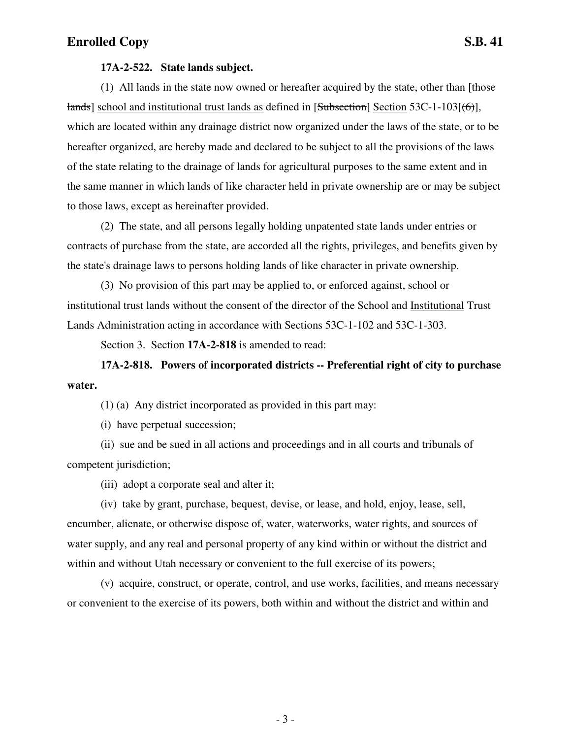#### **17A-2-522. State lands subject.**

(1) All lands in the state now owned or hereafter acquired by the state, other than  $[t$  hose lands] school and institutional trust lands as defined in [Subsection] Section 53C-1-103[(6)], which are located within any drainage district now organized under the laws of the state, or to be hereafter organized, are hereby made and declared to be subject to all the provisions of the laws of the state relating to the drainage of lands for agricultural purposes to the same extent and in the same manner in which lands of like character held in private ownership are or may be subject to those laws, except as hereinafter provided.

(2) The state, and all persons legally holding unpatented state lands under entries or contracts of purchase from the state, are accorded all the rights, privileges, and benefits given by the state's drainage laws to persons holding lands of like character in private ownership.

(3) No provision of this part may be applied to, or enforced against, school or institutional trust lands without the consent of the director of the School and Institutional Trust Lands Administration acting in accordance with Sections 53C-1-102 and 53C-1-303.

Section 3. Section **17A-2-818** is amended to read:

**17A-2-818. Powers of incorporated districts -- Preferential right of city to purchase water.**

(1) (a) Any district incorporated as provided in this part may:

(i) have perpetual succession;

(ii) sue and be sued in all actions and proceedings and in all courts and tribunals of competent jurisdiction;

(iii) adopt a corporate seal and alter it;

(iv) take by grant, purchase, bequest, devise, or lease, and hold, enjoy, lease, sell, encumber, alienate, or otherwise dispose of, water, waterworks, water rights, and sources of water supply, and any real and personal property of any kind within or without the district and within and without Utah necessary or convenient to the full exercise of its powers;

(v) acquire, construct, or operate, control, and use works, facilities, and means necessary or convenient to the exercise of its powers, both within and without the district and within and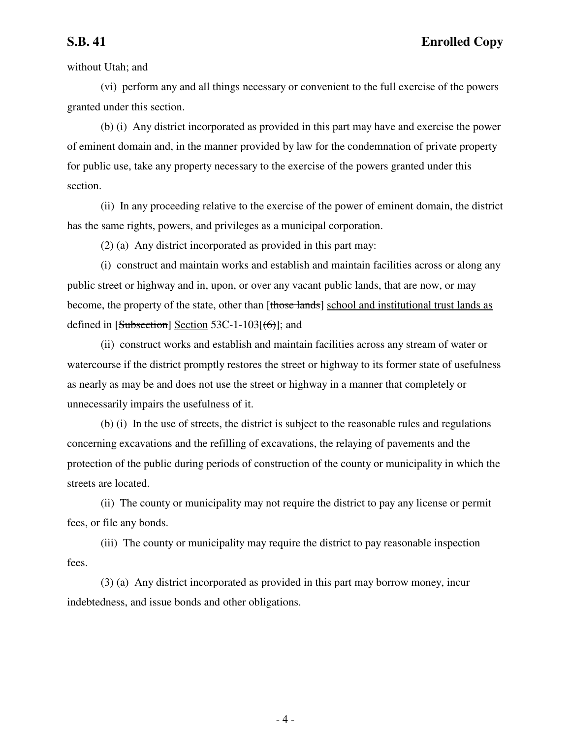without Utah; and

(vi) perform any and all things necessary or convenient to the full exercise of the powers granted under this section.

(b) (i) Any district incorporated as provided in this part may have and exercise the power of eminent domain and, in the manner provided by law for the condemnation of private property for public use, take any property necessary to the exercise of the powers granted under this section.

(ii) In any proceeding relative to the exercise of the power of eminent domain, the district has the same rights, powers, and privileges as a municipal corporation.

(2) (a) Any district incorporated as provided in this part may:

(i) construct and maintain works and establish and maintain facilities across or along any public street or highway and in, upon, or over any vacant public lands, that are now, or may become, the property of the state, other than [those lands] school and institutional trust lands as defined in  $[Subsection]$  Section 53C-1-103 $[66]$ ; and

(ii) construct works and establish and maintain facilities across any stream of water or watercourse if the district promptly restores the street or highway to its former state of usefulness as nearly as may be and does not use the street or highway in a manner that completely or unnecessarily impairs the usefulness of it.

(b) (i) In the use of streets, the district is subject to the reasonable rules and regulations concerning excavations and the refilling of excavations, the relaying of pavements and the protection of the public during periods of construction of the county or municipality in which the streets are located.

(ii) The county or municipality may not require the district to pay any license or permit fees, or file any bonds.

(iii) The county or municipality may require the district to pay reasonable inspection fees.

(3) (a) Any district incorporated as provided in this part may borrow money, incur indebtedness, and issue bonds and other obligations.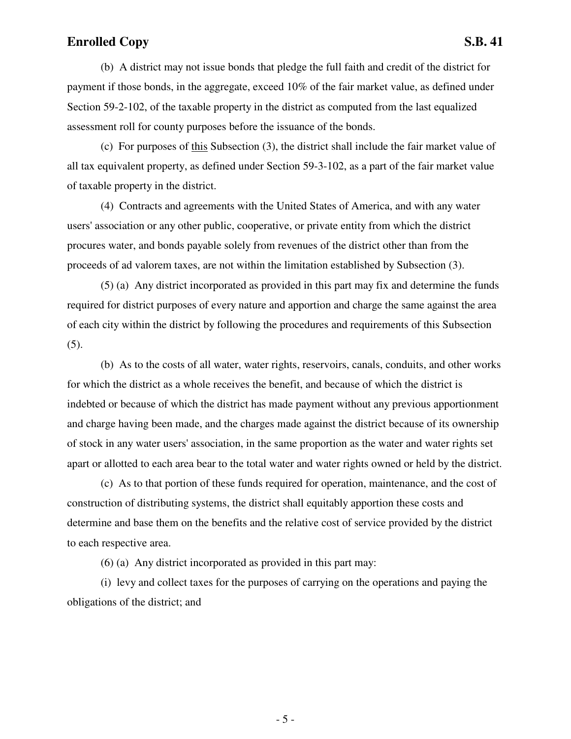(b) A district may not issue bonds that pledge the full faith and credit of the district for

payment if those bonds, in the aggregate, exceed 10% of the fair market value, as defined under Section 59-2-102, of the taxable property in the district as computed from the last equalized assessment roll for county purposes before the issuance of the bonds.

(c) For purposes of this Subsection (3), the district shall include the fair market value of all tax equivalent property, as defined under Section 59-3-102, as a part of the fair market value of taxable property in the district.

(4) Contracts and agreements with the United States of America, and with any water users' association or any other public, cooperative, or private entity from which the district procures water, and bonds payable solely from revenues of the district other than from the proceeds of ad valorem taxes, are not within the limitation established by Subsection (3).

(5) (a) Any district incorporated as provided in this part may fix and determine the funds required for district purposes of every nature and apportion and charge the same against the area of each city within the district by following the procedures and requirements of this Subsection (5).

(b) As to the costs of all water, water rights, reservoirs, canals, conduits, and other works for which the district as a whole receives the benefit, and because of which the district is indebted or because of which the district has made payment without any previous apportionment and charge having been made, and the charges made against the district because of its ownership of stock in any water users' association, in the same proportion as the water and water rights set apart or allotted to each area bear to the total water and water rights owned or held by the district.

(c) As to that portion of these funds required for operation, maintenance, and the cost of construction of distributing systems, the district shall equitably apportion these costs and determine and base them on the benefits and the relative cost of service provided by the district to each respective area.

(6) (a) Any district incorporated as provided in this part may:

(i) levy and collect taxes for the purposes of carrying on the operations and paying the obligations of the district; and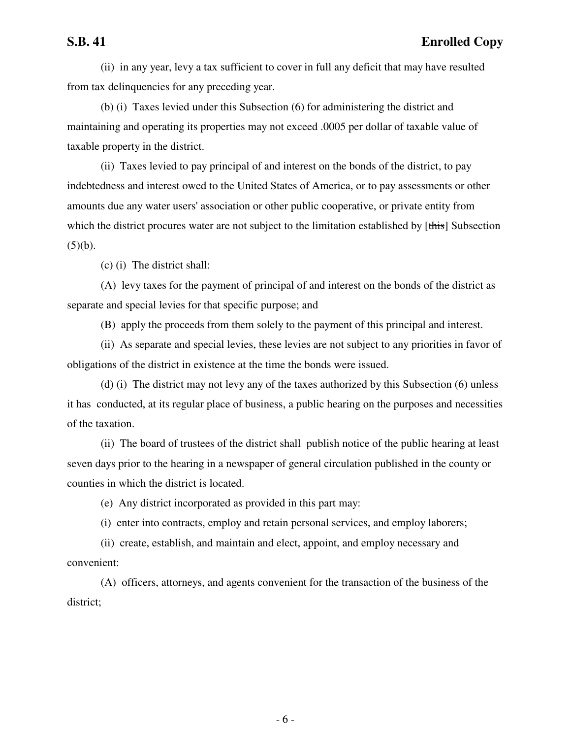(ii) in any year, levy a tax sufficient to cover in full any deficit that may have resulted from tax delinquencies for any preceding year.

(b) (i) Taxes levied under this Subsection (6) for administering the district and maintaining and operating its properties may not exceed .0005 per dollar of taxable value of taxable property in the district.

(ii) Taxes levied to pay principal of and interest on the bonds of the district, to pay indebtedness and interest owed to the United States of America, or to pay assessments or other amounts due any water users' association or other public cooperative, or private entity from which the district procures water are not subject to the limitation established by [this] Subsection  $(5)(b)$ .

(c) (i) The district shall:

(A) levy taxes for the payment of principal of and interest on the bonds of the district as separate and special levies for that specific purpose; and

(B) apply the proceeds from them solely to the payment of this principal and interest.

(ii) As separate and special levies, these levies are not subject to any priorities in favor of obligations of the district in existence at the time the bonds were issued.

(d) (i) The district may not levy any of the taxes authorized by this Subsection (6) unless it has conducted, at its regular place of business, a public hearing on the purposes and necessities of the taxation.

(ii) The board of trustees of the district shall publish notice of the public hearing at least seven days prior to the hearing in a newspaper of general circulation published in the county or counties in which the district is located.

(e) Any district incorporated as provided in this part may:

(i) enter into contracts, employ and retain personal services, and employ laborers;

(ii) create, establish, and maintain and elect, appoint, and employ necessary and convenient:

(A) officers, attorneys, and agents convenient for the transaction of the business of the district;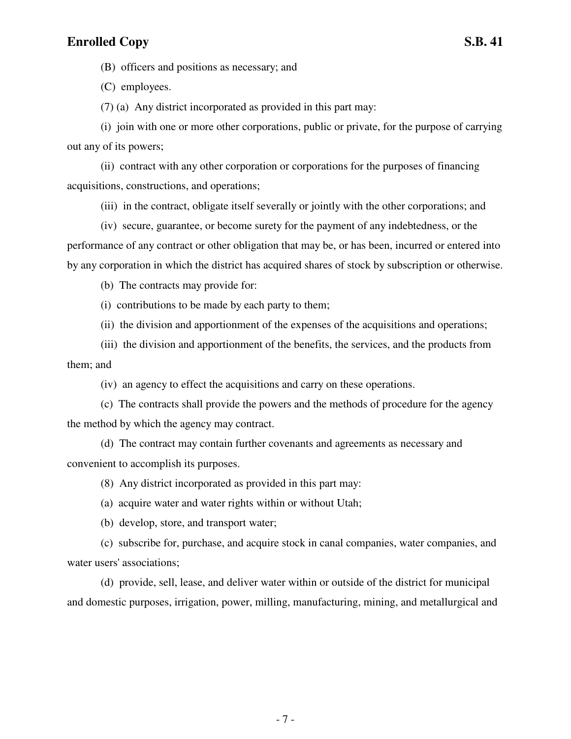(B) officers and positions as necessary; and

(C) employees.

(7) (a) Any district incorporated as provided in this part may:

(i) join with one or more other corporations, public or private, for the purpose of carrying out any of its powers;

(ii) contract with any other corporation or corporations for the purposes of financing acquisitions, constructions, and operations;

(iii) in the contract, obligate itself severally or jointly with the other corporations; and

(iv) secure, guarantee, or become surety for the payment of any indebtedness, or the performance of any contract or other obligation that may be, or has been, incurred or entered into by any corporation in which the district has acquired shares of stock by subscription or otherwise.

(b) The contracts may provide for:

(i) contributions to be made by each party to them;

(ii) the division and apportionment of the expenses of the acquisitions and operations;

(iii) the division and apportionment of the benefits, the services, and the products from them; and

(iv) an agency to effect the acquisitions and carry on these operations.

(c) The contracts shall provide the powers and the methods of procedure for the agency the method by which the agency may contract.

(d) The contract may contain further covenants and agreements as necessary and convenient to accomplish its purposes.

(8) Any district incorporated as provided in this part may:

(a) acquire water and water rights within or without Utah;

(b) develop, store, and transport water;

(c) subscribe for, purchase, and acquire stock in canal companies, water companies, and water users' associations;

(d) provide, sell, lease, and deliver water within or outside of the district for municipal and domestic purposes, irrigation, power, milling, manufacturing, mining, and metallurgical and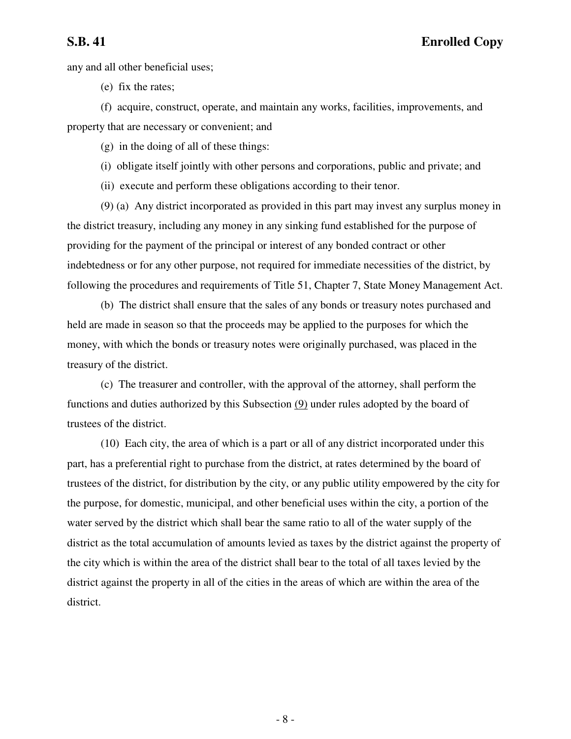**S.B. 41 Enrolled Copy**

any and all other beneficial uses;

(e) fix the rates;

(f) acquire, construct, operate, and maintain any works, facilities, improvements, and property that are necessary or convenient; and

(g) in the doing of all of these things:

(i) obligate itself jointly with other persons and corporations, public and private; and

(ii) execute and perform these obligations according to their tenor.

(9) (a) Any district incorporated as provided in this part may invest any surplus money in the district treasury, including any money in any sinking fund established for the purpose of providing for the payment of the principal or interest of any bonded contract or other indebtedness or for any other purpose, not required for immediate necessities of the district, by following the procedures and requirements of Title 51, Chapter 7, State Money Management Act.

(b) The district shall ensure that the sales of any bonds or treasury notes purchased and held are made in season so that the proceeds may be applied to the purposes for which the money, with which the bonds or treasury notes were originally purchased, was placed in the treasury of the district.

(c) The treasurer and controller, with the approval of the attorney, shall perform the functions and duties authorized by this Subsection (9) under rules adopted by the board of trustees of the district.

(10) Each city, the area of which is a part or all of any district incorporated under this part, has a preferential right to purchase from the district, at rates determined by the board of trustees of the district, for distribution by the city, or any public utility empowered by the city for the purpose, for domestic, municipal, and other beneficial uses within the city, a portion of the water served by the district which shall bear the same ratio to all of the water supply of the district as the total accumulation of amounts levied as taxes by the district against the property of the city which is within the area of the district shall bear to the total of all taxes levied by the district against the property in all of the cities in the areas of which are within the area of the district.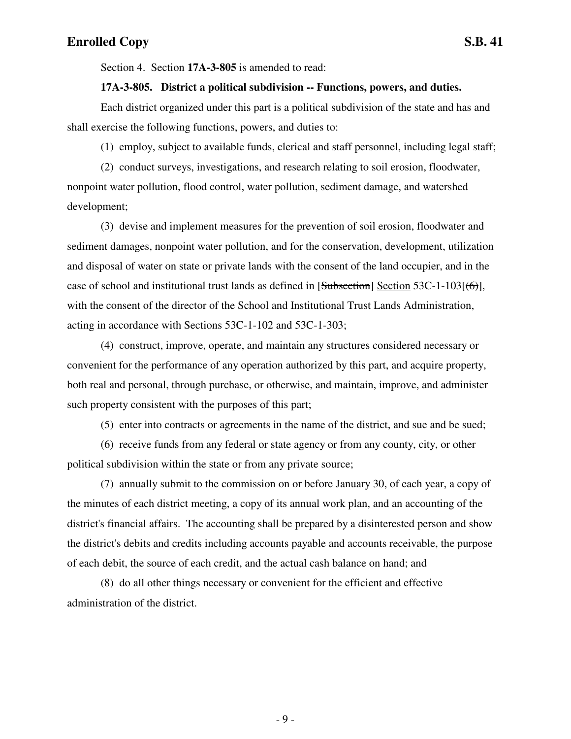Section 4. Section **17A-3-805** is amended to read:

#### **17A-3-805. District a political subdivision -- Functions, powers, and duties.**

Each district organized under this part is a political subdivision of the state and has and shall exercise the following functions, powers, and duties to:

(1) employ, subject to available funds, clerical and staff personnel, including legal staff;

(2) conduct surveys, investigations, and research relating to soil erosion, floodwater, nonpoint water pollution, flood control, water pollution, sediment damage, and watershed development;

(3) devise and implement measures for the prevention of soil erosion, floodwater and sediment damages, nonpoint water pollution, and for the conservation, development, utilization and disposal of water on state or private lands with the consent of the land occupier, and in the case of school and institutional trust lands as defined in  $[Subsection]$  Section 53C-1-103 $[66]$ , with the consent of the director of the School and Institutional Trust Lands Administration, acting in accordance with Sections 53C-1-102 and 53C-1-303;

(4) construct, improve, operate, and maintain any structures considered necessary or convenient for the performance of any operation authorized by this part, and acquire property, both real and personal, through purchase, or otherwise, and maintain, improve, and administer such property consistent with the purposes of this part;

(5) enter into contracts or agreements in the name of the district, and sue and be sued;

(6) receive funds from any federal or state agency or from any county, city, or other political subdivision within the state or from any private source;

(7) annually submit to the commission on or before January 30, of each year, a copy of the minutes of each district meeting, a copy of its annual work plan, and an accounting of the district's financial affairs. The accounting shall be prepared by a disinterested person and show the district's debits and credits including accounts payable and accounts receivable, the purpose of each debit, the source of each credit, and the actual cash balance on hand; and

(8) do all other things necessary or convenient for the efficient and effective administration of the district.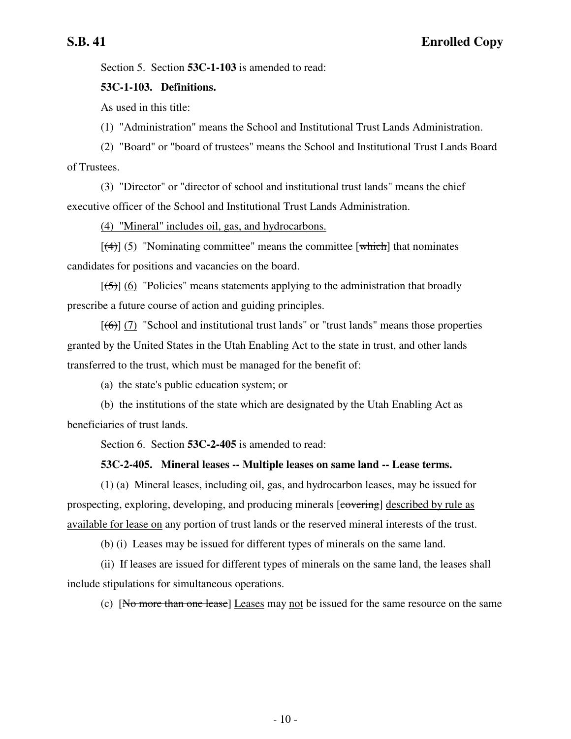Section 5. Section **53C-1-103** is amended to read:

### **53C-1-103. Definitions.**

As used in this title:

(1) "Administration" means the School and Institutional Trust Lands Administration.

(2) "Board" or "board of trustees" means the School and Institutional Trust Lands Board of Trustees.

(3) "Director" or "director of school and institutional trust lands" means the chief executive officer of the School and Institutional Trust Lands Administration.

(4) "Mineral" includes oil, gas, and hydrocarbons.

 $[(4)] (5)$  "Nominating committee" means the committee [which] that nominates candidates for positions and vacancies on the board.

 $[\frac{1}{5}]$  (6) "Policies" means statements applying to the administration that broadly prescribe a future course of action and guiding principles.

 $[(6)]$  (7) "School and institutional trust lands" or "trust lands" means those properties granted by the United States in the Utah Enabling Act to the state in trust, and other lands transferred to the trust, which must be managed for the benefit of:

(a) the state's public education system; or

(b) the institutions of the state which are designated by the Utah Enabling Act as beneficiaries of trust lands.

Section 6. Section **53C-2-405** is amended to read:

#### **53C-2-405. Mineral leases -- Multiple leases on same land -- Lease terms.**

(1) (a) Mineral leases, including oil, gas, and hydrocarbon leases, may be issued for prospecting, exploring, developing, and producing minerals [covering] described by rule as available for lease on any portion of trust lands or the reserved mineral interests of the trust.

(b) (i) Leases may be issued for different types of minerals on the same land.

(ii) If leases are issued for different types of minerals on the same land, the leases shall include stipulations for simultaneous operations.

(c) [No more than one lease] Leases may not be issued for the same resource on the same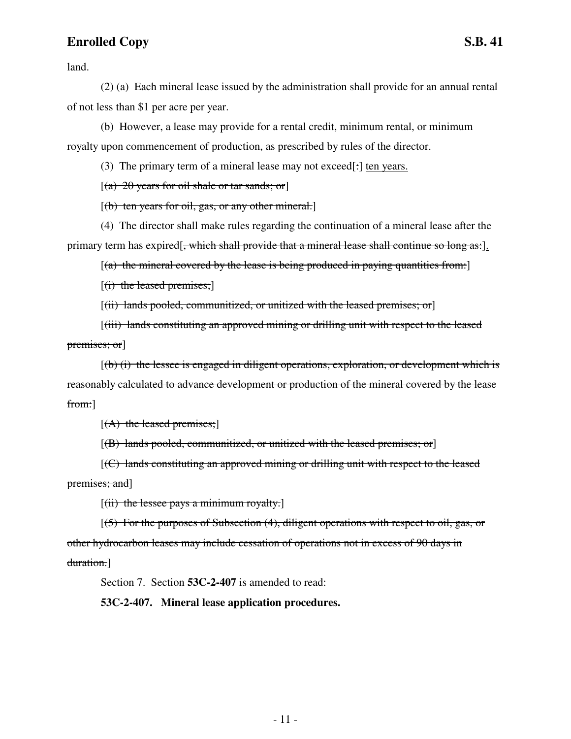land.

(2) (a) Each mineral lease issued by the administration shall provide for an annual rental of not less than \$1 per acre per year.

(b) However, a lease may provide for a rental credit, minimum rental, or minimum royalty upon commencement of production, as prescribed by rules of the director.

(3) The primary term of a mineral lease may not exceed[:] ten years.

 $[(a) 20 \text{ years}$  for oil shale or tar sands; or

 $[(b)$  ten years for oil, gas, or any other mineral.

(4) The director shall make rules regarding the continuation of a mineral lease after the primary term has expired[<del>, which shall provide that a mineral lease shall continue so long as:</del>].

 $[(a)$  the mineral covered by the lease is being produced in paying quantities from:

 $[(i)$  the leased premises;

[(ii) lands pooled, communitized, or unitized with the leased premises; or]

[(iii) lands constituting an approved mining or drilling unit with respect to the leased premises; or]

 $[(b)$  (i) the lessee is engaged in diligent operations, exploration, or development which is reasonably calculated to advance development or production of the mineral covered by the lease from:]

 $[(A)$  the leased premises;]

 $[(B)$  lands pooled, communitized, or unitized with the leased premises; or

[(C) lands constituting an approved mining or drilling unit with respect to the leased premises; and]

 $[(ii)$  the lessee pays a minimum royalty.]

[(5) For the purposes of Subsection (4), diligent operations with respect to oil, gas, or other hydrocarbon leases may include cessation of operations not in excess of 90 days in duration.]

Section 7. Section **53C-2-407** is amended to read:

**53C-2-407. Mineral lease application procedures.**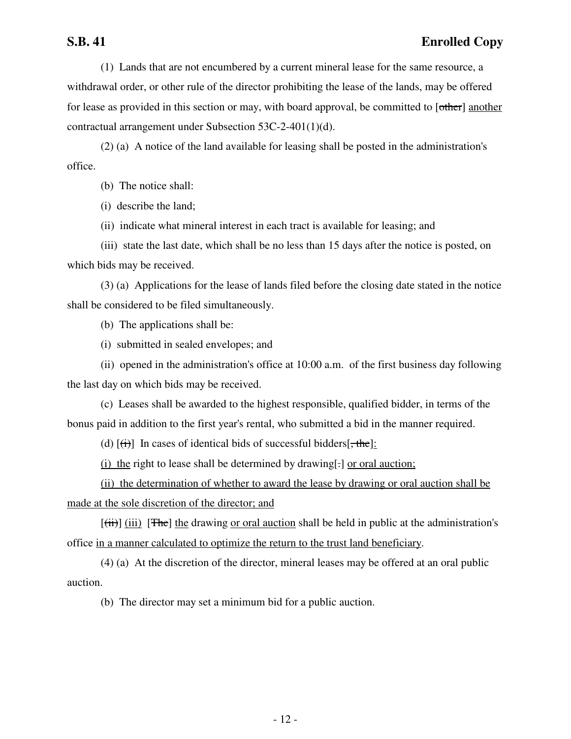(1) Lands that are not encumbered by a current mineral lease for the same resource, a withdrawal order, or other rule of the director prohibiting the lease of the lands, may be offered for lease as provided in this section or may, with board approval, be committed to [other] another contractual arrangement under Subsection 53C-2-401(1)(d).

(2) (a) A notice of the land available for leasing shall be posted in the administration's office.

(b) The notice shall:

(i) describe the land;

(ii) indicate what mineral interest in each tract is available for leasing; and

(iii) state the last date, which shall be no less than 15 days after the notice is posted, on which bids may be received.

(3) (a) Applications for the lease of lands filed before the closing date stated in the notice shall be considered to be filed simultaneously.

(b) The applications shall be:

(i) submitted in sealed envelopes; and

(ii) opened in the administration's office at 10:00 a.m. of the first business day following the last day on which bids may be received.

(c) Leases shall be awarded to the highest responsible, qualified bidder, in terms of the bonus paid in addition to the first year's rental, who submitted a bid in the manner required.

(d)  $[\overrightarrow{t})$  In cases of identical bids of successful bidders[ $\overrightarrow{t}$ the]:

(i) the right to lease shall be determined by drawing[.] or oral auction;

(ii) the determination of whether to award the lease by drawing or oral auction shall be made at the sole discretion of the director; and

 $[(iii)]$  (iii) [The] the drawing or oral auction shall be held in public at the administration's office in a manner calculated to optimize the return to the trust land beneficiary.

(4) (a) At the discretion of the director, mineral leases may be offered at an oral public auction.

(b) The director may set a minimum bid for a public auction.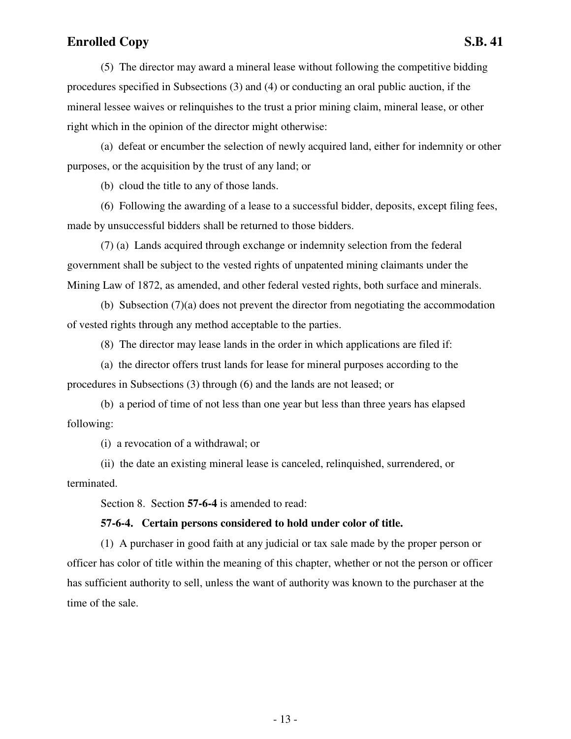procedures specified in Subsections (3) and (4) or conducting an oral public auction, if the mineral lessee waives or relinquishes to the trust a prior mining claim, mineral lease, or other right which in the opinion of the director might otherwise:

(a) defeat or encumber the selection of newly acquired land, either for indemnity or other purposes, or the acquisition by the trust of any land; or

(b) cloud the title to any of those lands.

(6) Following the awarding of a lease to a successful bidder, deposits, except filing fees, made by unsuccessful bidders shall be returned to those bidders.

(7) (a) Lands acquired through exchange or indemnity selection from the federal government shall be subject to the vested rights of unpatented mining claimants under the Mining Law of 1872, as amended, and other federal vested rights, both surface and minerals.

(b) Subsection (7)(a) does not prevent the director from negotiating the accommodation of vested rights through any method acceptable to the parties.

(8) The director may lease lands in the order in which applications are filed if:

(a) the director offers trust lands for lease for mineral purposes according to the procedures in Subsections (3) through (6) and the lands are not leased; or

(b) a period of time of not less than one year but less than three years has elapsed following:

(i) a revocation of a withdrawal; or

(ii) the date an existing mineral lease is canceled, relinquished, surrendered, or terminated.

Section 8. Section **57-6-4** is amended to read:

#### **57-6-4. Certain persons considered to hold under color of title.**

(1) A purchaser in good faith at any judicial or tax sale made by the proper person or officer has color of title within the meaning of this chapter, whether or not the person or officer has sufficient authority to sell, unless the want of authority was known to the purchaser at the time of the sale.